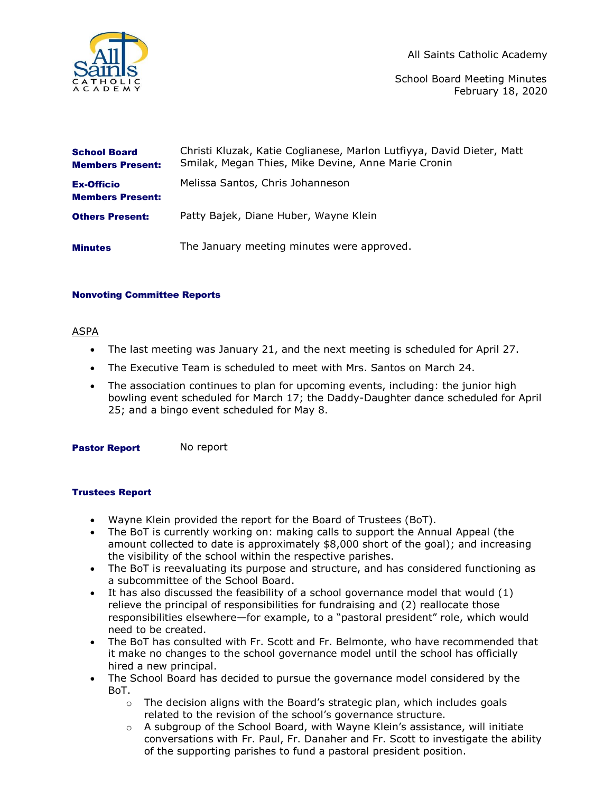

All Saints Catholic Academy

School Board Meeting Minutes February 18, 2020

| <b>School Board</b><br><b>Members Present:</b> | Christi Kluzak, Katie Coglianese, Marlon Lutfiyya, David Dieter, Matt<br>Smilak, Megan Thies, Mike Devine, Anne Marie Cronin |
|------------------------------------------------|------------------------------------------------------------------------------------------------------------------------------|
| <b>Ex-Officio</b><br><b>Members Present:</b>   | Melissa Santos, Chris Johanneson                                                                                             |
| <b>Others Present:</b>                         | Patty Bajek, Diane Huber, Wayne Klein                                                                                        |
| <b>Minutes</b>                                 | The January meeting minutes were approved.                                                                                   |

### Nonvoting Committee Reports

# ASPA

- The last meeting was January 21, and the next meeting is scheduled for April 27.
- The Executive Team is scheduled to meet with Mrs. Santos on March 24.
- The association continues to plan for upcoming events, including: the junior high bowling event scheduled for March 17; the Daddy-Daughter dance scheduled for April 25; and a bingo event scheduled for May 8.

Pastor Report No report

# Trustees Report

- Wayne Klein provided the report for the Board of Trustees (BoT).
- The BoT is currently working on: making calls to support the Annual Appeal (the amount collected to date is approximately \$8,000 short of the goal); and increasing the visibility of the school within the respective parishes.
- The BoT is reevaluating its purpose and structure, and has considered functioning as a subcommittee of the School Board.
- It has also discussed the feasibility of a school governance model that would  $(1)$ relieve the principal of responsibilities for fundraising and (2) reallocate those responsibilities elsewhere—for example, to a "pastoral president" role, which would need to be created.
- The BoT has consulted with Fr. Scott and Fr. Belmonte, who have recommended that it make no changes to the school governance model until the school has officially hired a new principal.
- The School Board has decided to pursue the governance model considered by the BoT.
	- $\circ$  The decision aligns with the Board's strategic plan, which includes goals related to the revision of the school's governance structure.
	- $\circ$  A subgroup of the School Board, with Wayne Klein's assistance, will initiate conversations with Fr. Paul, Fr. Danaher and Fr. Scott to investigate the ability of the supporting parishes to fund a pastoral president position.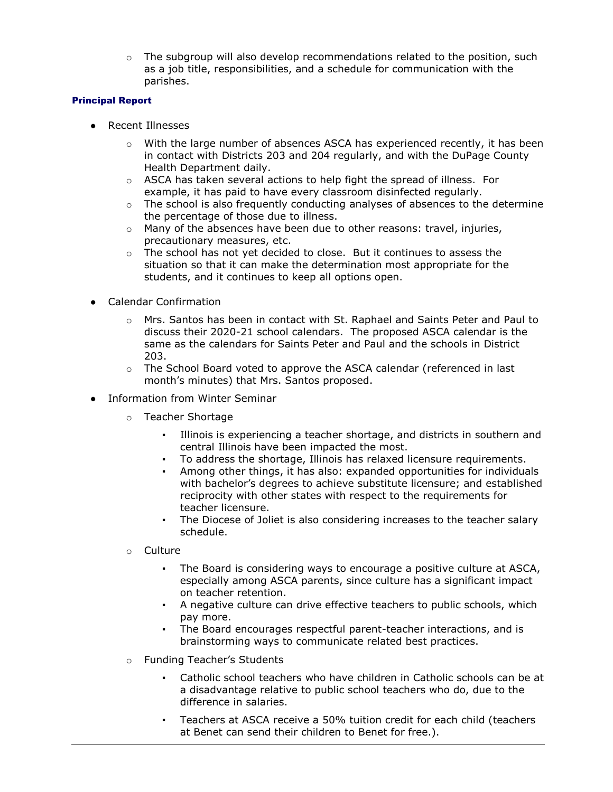$\circ$  The subgroup will also develop recommendations related to the position, such as a job title, responsibilities, and a schedule for communication with the parishes.

### Principal Report

- Recent Illnesses
	- o With the large number of absences ASCA has experienced recently, it has been in contact with Districts 203 and 204 regularly, and with the DuPage County Health Department daily.
	- $\circ$  ASCA has taken several actions to help fight the spread of illness. For example, it has paid to have every classroom disinfected regularly.
	- $\circ$  The school is also frequently conducting analyses of absences to the determine the percentage of those due to illness.
	- $\circ$  Many of the absences have been due to other reasons: travel, injuries, precautionary measures, etc.
	- $\circ$  The school has not yet decided to close. But it continues to assess the situation so that it can make the determination most appropriate for the students, and it continues to keep all options open.
- **Calendar Confirmation** 
	- $\circ$  Mrs. Santos has been in contact with St. Raphael and Saints Peter and Paul to discuss their 2020-21 school calendars. The proposed ASCA calendar is the same as the calendars for Saints Peter and Paul and the schools in District 203.
	- o The School Board voted to approve the ASCA calendar (referenced in last month's minutes) that Mrs. Santos proposed.
- Information from Winter Seminar
	- o Teacher Shortage
		- Illinois is experiencing a teacher shortage, and districts in southern and central Illinois have been impacted the most.
		- To address the shortage, Illinois has relaxed licensure requirements.
		- Among other things, it has also: expanded opportunities for individuals with bachelor's degrees to achieve substitute licensure; and established reciprocity with other states with respect to the requirements for teacher licensure.
		- The Diocese of Joliet is also considering increases to the teacher salary schedule.
	- o Culture
		- The Board is considering ways to encourage a positive culture at ASCA, especially among ASCA parents, since culture has a significant impact on teacher retention.
		- A negative culture can drive effective teachers to public schools, which pay more.
		- The Board encourages respectful parent-teacher interactions, and is brainstorming ways to communicate related best practices.
	- o Funding Teacher's Students
		- Catholic school teachers who have children in Catholic schools can be at a disadvantage relative to public school teachers who do, due to the difference in salaries.
		- Teachers at ASCA receive a 50% tuition credit for each child (teachers at Benet can send their children to Benet for free.).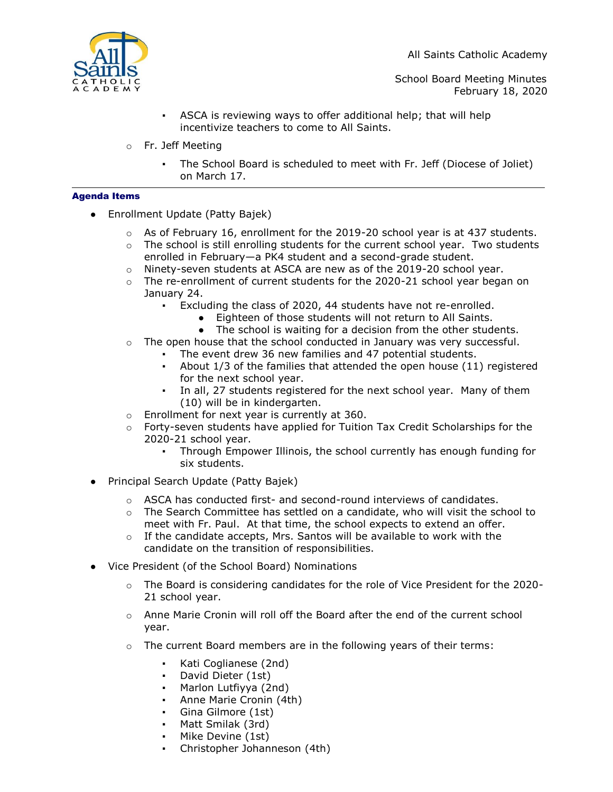All Saints Catholic Academy



School Board Meeting Minutes February 18, 2020

- ASCA is reviewing ways to offer additional help; that will help incentivize teachers to come to All Saints.
- o Fr. Jeff Meeting
	- The School Board is scheduled to meet with Fr. Jeff (Diocese of Joliet) on March 17.

### Agenda Items

- Enrollment Update (Patty Bajek)
	- $\circ$  As of February 16, enrollment for the 2019-20 school year is at 437 students.
	- $\circ$  The school is still enrolling students for the current school year. Two students enrolled in February—a PK4 student and a second-grade student.
	- $\circ$  Ninety-seven students at ASCA are new as of the 2019-20 school year.
	- $\circ$  The re-enrollment of current students for the 2020-21 school year began on January 24.
		- Excluding the class of 2020, 44 students have not re-enrolled.
			- Eighteen of those students will not return to All Saints.
			- The school is waiting for a decision from the other students.
	- $\circ$  The open house that the school conducted in January was very successful.
		- The event drew 36 new families and 47 potential students.
		- About  $1/3$  of the families that attended the open house  $(11)$  registered for the next school year.
		- In all, 27 students registered for the next school year. Many of them (10) will be in kindergarten.
	- o Enrollment for next year is currently at 360.
	- $\circ$  Forty-seven students have applied for Tuition Tax Credit Scholarships for the 2020-21 school year.
		- Through Empower Illinois, the school currently has enough funding for six students.
- Principal Search Update (Patty Bajek)
	- $\circ$  ASCA has conducted first- and second-round interviews of candidates.
	- $\circ$  The Search Committee has settled on a candidate, who will visit the school to meet with Fr. Paul. At that time, the school expects to extend an offer.
	- $\circ$  If the candidate accepts, Mrs. Santos will be available to work with the candidate on the transition of responsibilities.
- Vice President (of the School Board) Nominations
	- $\circ$  The Board is considering candidates for the role of Vice President for the 2020-21 school year.
	- o Anne Marie Cronin will roll off the Board after the end of the current school year.
	- $\circ$  The current Board members are in the following years of their terms:
		- Kati Coglianese (2nd)
		- David Dieter (1st)
		- Marlon Lutfiyya (2nd)
		- Anne Marie Cronin (4th)
		- Gina Gilmore (1st)
		- Matt Smilak (3rd)
		- Mike Devine (1st)
		- Christopher Johanneson (4th)